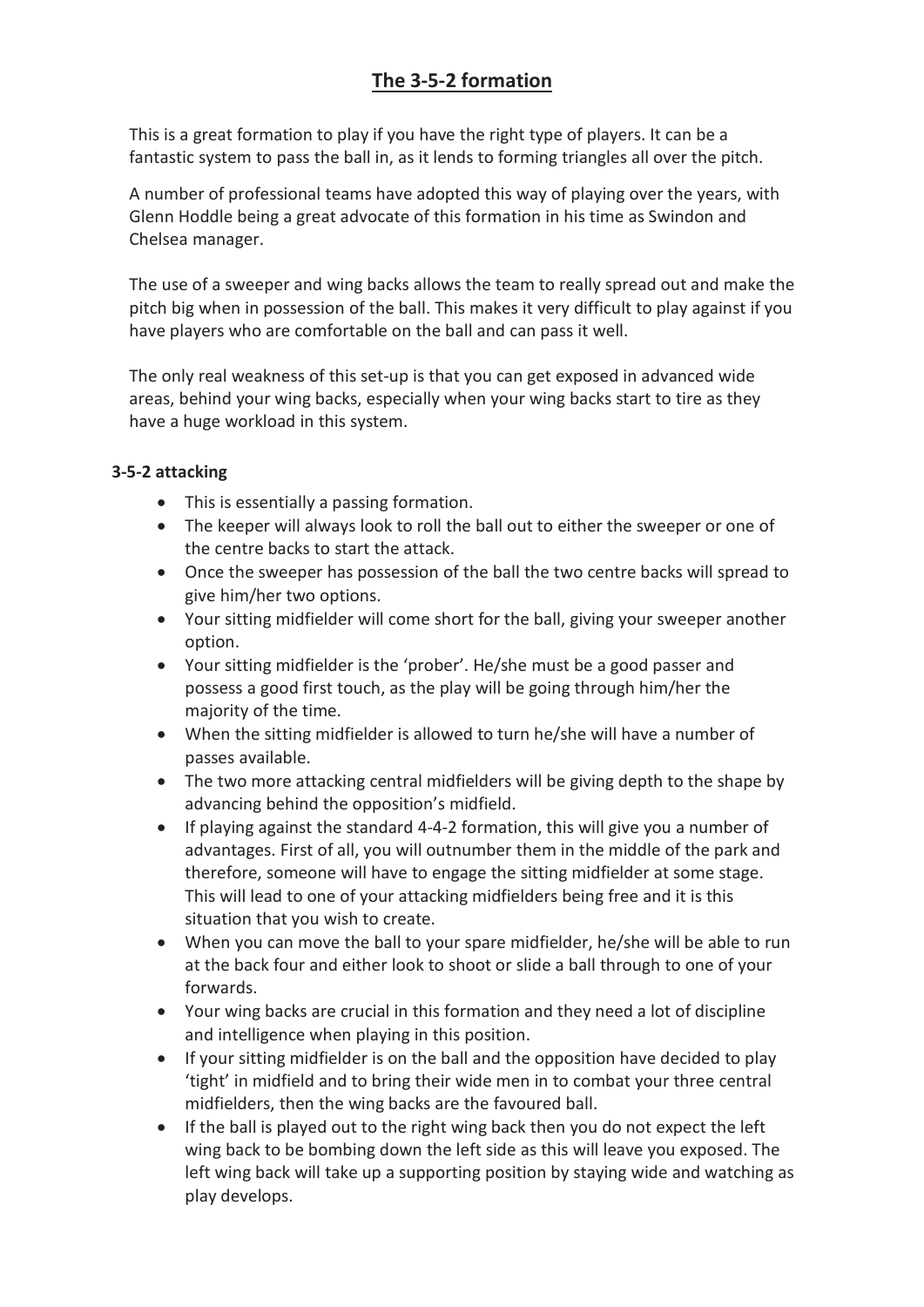## **The 3-5-2 formation**

This is a great formation to play if you have the right type of players. It can be a fantastic system to pass the ball in, as it lends to forming triangles all over the pitch.

A number of professional teams have adopted this way of playing over the years, with Glenn Hoddle being a great advocate of this formation in his time as Swindon and Chelsea manager.

The use of a sweeper and wing backs allows the team to really spread out and make the pitch big when in possession of the ball. This makes it very difficult to play against if you have players who are comfortable on the ball and can pass it well.

The only real weakness of this set-up is that you can get exposed in advanced wide areas, behind your wing backs, especially when your wing backs start to tire as they have a huge workload in this system.

## **3-5-2 attacking**

- This is essentially a passing formation.
- The keeper will always look to roll the ball out to either the sweeper or one of the centre backs to start the attack.
- Once the sweeper has possession of the ball the two centre backs will spread to give him/her two options.
- Your sitting midfielder will come short for the ball, giving your sweeper another option.
- Your sitting midfielder is the 'prober'. He/she must be a good passer and possess a good first touch, as the play will be going through him/her the majority of the time.
- When the sitting midfielder is allowed to turn he/she will have a number of passes available.
- The two more attacking central midfielders will be giving depth to the shape by advancing behind the opposition's midfield.
- If playing against the standard 4-4-2 formation, this will give you a number of advantages. First of all, you will outnumber them in the middle of the park and therefore, someone will have to engage the sitting midfielder at some stage. This will lead to one of your attacking midfielders being free and it is this situation that you wish to create.
- When you can move the ball to your spare midfielder, he/she will be able to run at the back four and either look to shoot or slide a ball through to one of your forwards.
- Your wing backs are crucial in this formation and they need a lot of discipline and intelligence when playing in this position.
- If your sitting midfielder is on the ball and the opposition have decided to play 'tight' in midfield and to bring their wide men in to combat your three central midfielders, then the wing backs are the favoured ball.
- If the ball is played out to the right wing back then you do not expect the left wing back to be bombing down the left side as this will leave you exposed. The left wing back will take up a supporting position by staying wide and watching as play develops.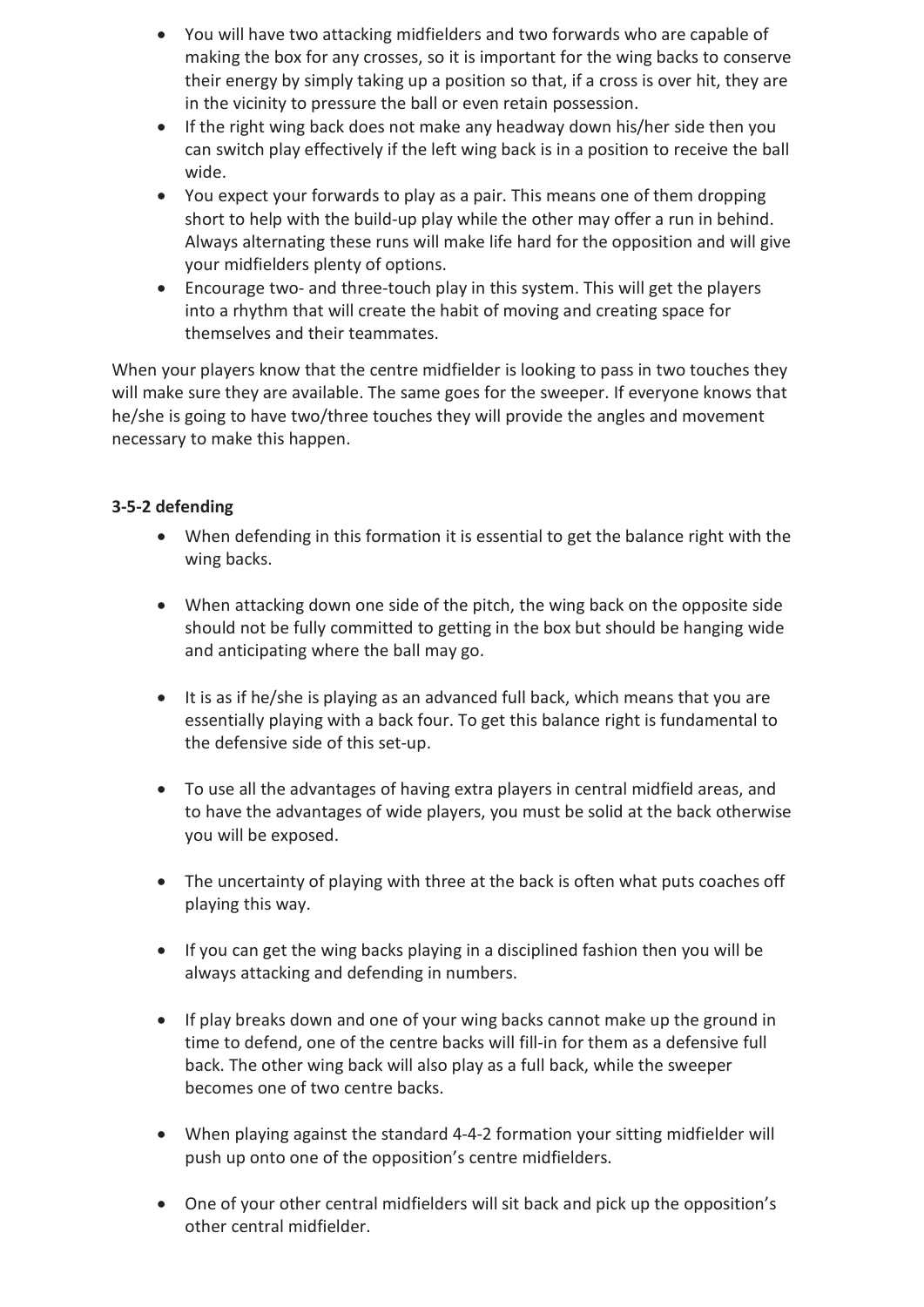- You will have two attacking midfielders and two forwards who are capable of making the box for any crosses, so it is important for the wing backs to conserve their energy by simply taking up a position so that, if a cross is over hit, they are in the vicinity to pressure the ball or even retain possession.
- If the right wing back does not make any headway down his/her side then you can switch play effectively if the left wing back is in a position to receive the ball wide.
- You expect your forwards to play as a pair. This means one of them dropping short to help with the build-up play while the other may offer a run in behind. Always alternating these runs will make life hard for the opposition and will give your midfielders plenty of options.
- Encourage two- and three-touch play in this system. This will get the players into a rhythm that will create the habit of moving and creating space for themselves and their teammates.

When your players know that the centre midfielder is looking to pass in two touches they will make sure they are available. The same goes for the sweeper. If everyone knows that he/she is going to have two/three touches they will provide the angles and movement necessary to make this happen.

## **3-5-2 defending**

- When defending in this formation it is essential to get the balance right with the wing backs.
- When attacking down one side of the pitch, the wing back on the opposite side should not be fully committed to getting in the box but should be hanging wide and anticipating where the ball may go.
- It is as if he/she is playing as an advanced full back, which means that you are essentially playing with a back four. To get this balance right is fundamental to the defensive side of this set-up.
- To use all the advantages of having extra players in central midfield areas, and to have the advantages of wide players, you must be solid at the back otherwise you will be exposed.
- The uncertainty of playing with three at the back is often what puts coaches off playing this way.
- If you can get the wing backs playing in a disciplined fashion then you will be always attacking and defending in numbers.
- If play breaks down and one of your wing backs cannot make up the ground in time to defend, one of the centre backs will fill-in for them as a defensive full back. The other wing back will also play as a full back, while the sweeper becomes one of two centre backs.
- When playing against the standard 4-4-2 formation your sitting midfielder will push up onto one of the opposition's centre midfielders.
- One of your other central midfielders will sit back and pick up the opposition's other central midfielder.